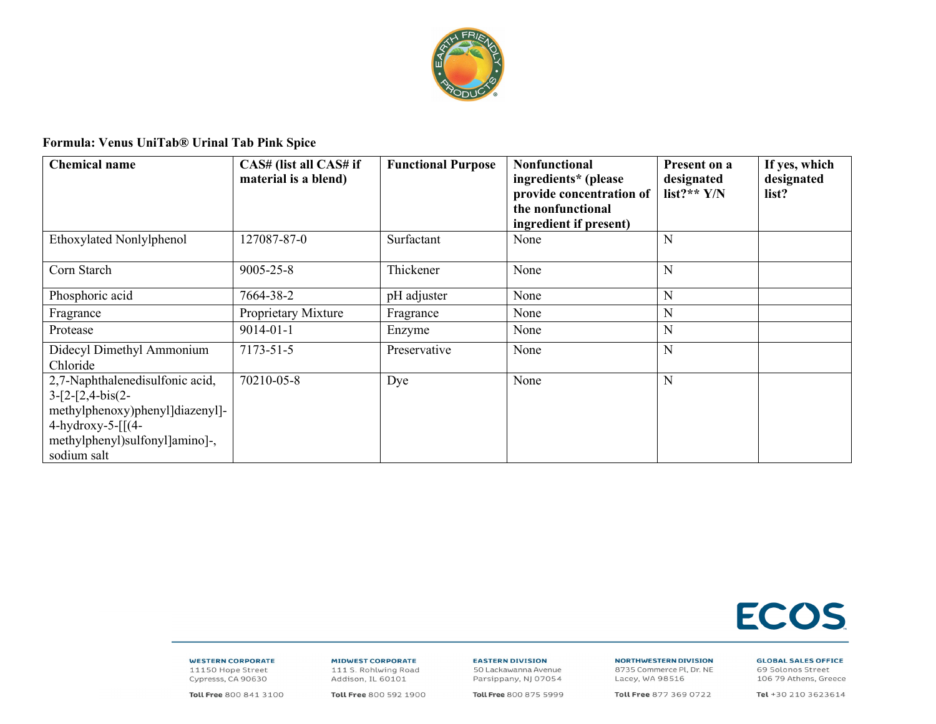

## Formula: Venus UniTab® Urinal Tab Pink Spice

| <b>Chemical name</b>                                                                                                                                                   | CAS# (list all CAS# if<br>material is a blend) | <b>Functional Purpose</b> | <b>Nonfunctional</b><br>ingredients* (please<br>provide concentration of<br>the nonfunctional<br>ingredient if present) | Present on a<br>designated<br>list?** $Y/N$ | If yes, which<br>designated<br>list? |
|------------------------------------------------------------------------------------------------------------------------------------------------------------------------|------------------------------------------------|---------------------------|-------------------------------------------------------------------------------------------------------------------------|---------------------------------------------|--------------------------------------|
| Ethoxylated Nonlylphenol                                                                                                                                               | 127087-87-0                                    | Surfactant                | None                                                                                                                    | N                                           |                                      |
| Corn Starch                                                                                                                                                            | 9005-25-8                                      | Thickener                 | None                                                                                                                    | N                                           |                                      |
| Phosphoric acid                                                                                                                                                        | 7664-38-2                                      | pH adjuster               | None                                                                                                                    | N                                           |                                      |
| Fragrance                                                                                                                                                              | Proprietary Mixture                            | Fragrance                 | None                                                                                                                    | N                                           |                                      |
| Protease                                                                                                                                                               | $9014 - 01 - 1$                                | Enzyme                    | None                                                                                                                    | N                                           |                                      |
| Didecyl Dimethyl Ammonium<br>Chloride                                                                                                                                  | 7173-51-5                                      | Preservative              | None                                                                                                                    | N                                           |                                      |
| 2,7-Naphthalenedisulfonic acid,<br>$3-[2-[2,4-bis(2-$<br>methylphenoxy)phenyl]diazenyl]-<br>4-hydroxy-5- $\lceil (4-$<br>methylphenyl)sulfonyl]amino]-,<br>sodium salt | 70210-05-8                                     | Dye                       | None                                                                                                                    | N                                           |                                      |



## **WESTERN CORPORATE**

11150 Hope Street Cypresss, CA 90630 **MIDWEST CORPORATE** 111 S. Rohlwing Road Addison, IL 60101

**EASTERN DIVISION** 50 Lackawanna Avenue

**NORTHWESTERN DIVISION** 8735 Commerce Pl, Dr. NE Lacey, WA 98516

Toll Free 877 369 0722

**GLOBAL SALES OFFICE** 

69 Solonos Street 106 79 Athens, Greece

Toll Free 800 841 3100

Toll Free 800 592 1900

Parsippany, NJ 07054 Toll Free 800 875 5999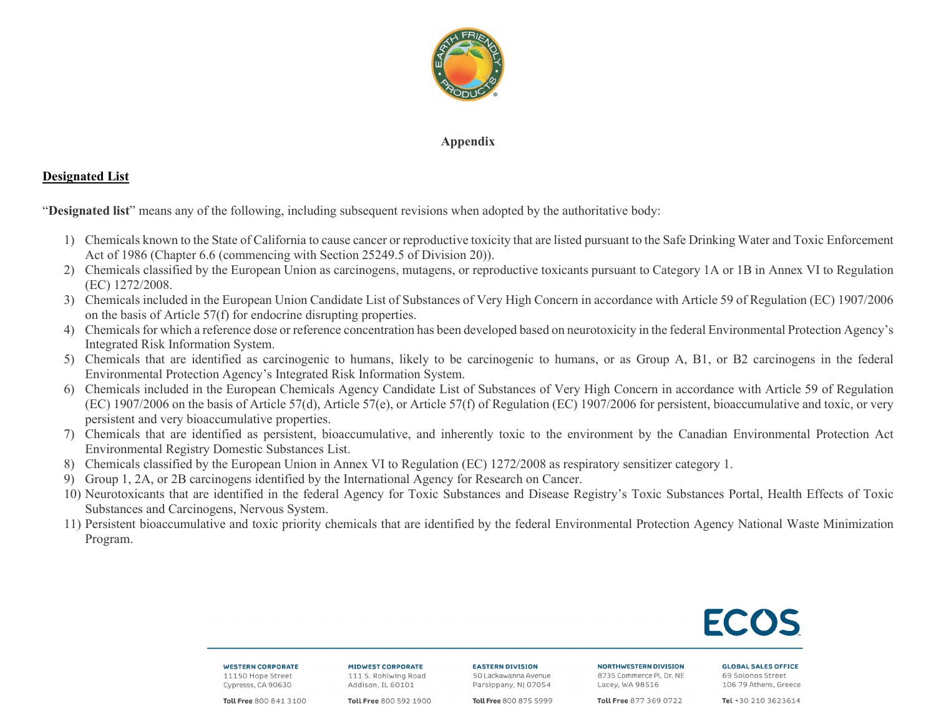

## **Appendix**

## **Designated List**

"**Designated list**" means any of the following, including subsequent revisions when adopted by the authoritative body:

- 1) Chemicals known to the State of California to cause cancer or reproductive toxicity that are listed pursuant to the Safe Drinking Water and Toxic Enforcement Act of 1986 (Chapter 6.6 (commencing with Section 25249.5 of Division 20)).
- 2) Chemicals classified by the European Union as carcinogens, mutagens, or reproductive toxicants pursuant to Category 1A or 1B in Annex VI to Regulation (EC) 1272/2008.
- 3) Chemicals included in the European Union Candidate List of Substances of Very High Concern in accordance with Article 59 of Regulation (EC) 1907/2006 on the basis of Article 57(f) for endocrine disrupting properties.
- 4) Chemicals for which a reference dose or reference concentration has been developed based on neurotoxicity in the federal Environmental Protection Agency's Integrated Risk Information System.
- 5) Chemicals that are identified as carcinogenic to humans, likely to be carcinogenic to humans, or as Group A, B1, or B2 carcinogens in the federal Environmental Protection Agency's Integrated Risk Information System.
- 6) Chemicals included in the European Chemicals Agency Candidate List of Substances of Very High Concern in accordance with Article 59 of Regulation (EC) 1907/2006 on the basis of Article 57(d), Article 57(e), or Article 57(f) of Regulation (EC) 1907/2006 for persistent, bioaccumulative and toxic, or very persistent and very bioaccumulative properties.
- 7) Chemicals that are identified as persistent, bioaccumulative, and inherently toxic to the environment by the Canadian Environmental Protection Act Environmental Registry Domestic Substances List.
- 8) Chemicals classified by the European Union in Annex VI to Regulation (EC) 1272/2008 as respiratory sensitizer category 1.
- 9) Group 1, 2A, or 2B carcinogens identified by the International Agency for Research on Cancer.
- 10) Neurotoxicants that are identified in the federal Agency for Toxic Substances and Disease Registry's Toxic Substances Portal, Health Effects of Toxic Substances and Carcinogens, Nervous System.
- 11) Persistent bioaccumulative and toxic priority chemicals that are identified by the federal Environmental Protection Agency National Waste Minimization Program.

**WESTERN CORPORATE** 11150 Hope Street Cypresss, CA 90630

**MIDWEST CORPORATE** 111 S. Rohlwing Road Addison, IL 60101

**EASTERN DIVISION** 50 Lackawanna Avenue Parsippany, NJ 07054

**NORTHWESTERN DIVISION** 8735 Commerce Pl, Dr. NE Lacev, WA 98516

Toll Free 877 369 0722

**GLOBAL SALES OFFICE** 69 Solonos Street 106 79 Athens, Greece

Toll Free 800 841 3100

Toll Free 800 592 1900

Toll Free 800 875 5999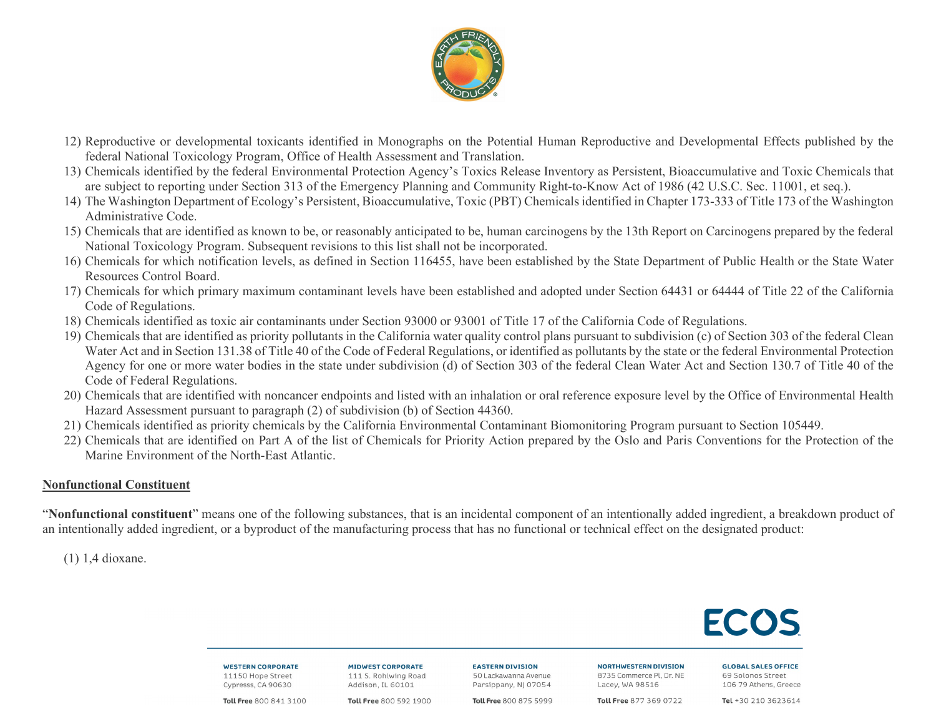

- 12) Reproductive or developmental toxicants identified in Monographs on the Potential Human Reproductive and Developmental Effects published by the federal National Toxicology Program, Office of Health Assessment and Translation.
- 13) Chemicals identified by the federal Environmental Protection Agency's Toxics Release Inventory as Persistent, Bioaccumulative and Toxic Chemicals that are subject to reporting under Section 313 of the Emergency Planning and Community Right-to-Know Act of 1986 (42 U.S.C. Sec. 11001, et seq.).
- 14) The Washington Department of Ecology's Persistent, Bioaccumulative, Toxic (PBT) Chemicals identified in Chapter 173-333 of Title 173 of the Washington Administrative Code.
- 15) Chemicals that are identified as known to be, or reasonably anticipated to be, human carcinogens by the 13th Report on Carcinogens prepared by the federal National Toxicology Program. Subsequent revisions to this list shall not be incorporated.
- 16) Chemicals for which notification levels, as defined in Section 116455, have been established by the State Department of Public Health or the State Water Resources Control Board.
- 17) Chemicals for which primary maximum contaminant levels have been established and adopted under Section 64431 or 64444 of Title 22 of the California Code of Regulations.
- 18) Chemicals identified as toxic air contaminants under Section 93000 or 93001 of Title 17 of the California Code of Regulations.
- 19) Chemicals that are identified as priority pollutants in the California water quality control plans pursuant to subdivision (c) of Section 303 of the federal Clean Water Act and in Section 131.38 of Title 40 of the Code of Federal Regulations, or identified as pollutants by the state or the federal Environmental Protection Agency for one or more water bodies in the state under subdivision (d) of Section 303 of the federal Clean Water Act and Section 130.7 of Title 40 of the Code of Federal Regulations.
- 20) Chemicals that are identified with noncancer endpoints and listed with an inhalation or oral reference exposure level by the Office of Environmental Health Hazard Assessment pursuant to paragraph (2) of subdivision (b) of Section 44360.
- 21) Chemicals identified as priority chemicals by the California Environmental Contaminant Biomonitoring Program pursuant to Section 105449.
- 22) Chemicals that are identified on Part A of the list of Chemicals for Priority Action prepared by the Oslo and Paris Conventions for the Protection of the Marine Environment of the North-East Atlantic.

# **Nonfunctional Constituent**

"**Nonfunctional constituent**" means one of the following substances, that is an incidental component of an intentionally added ingredient, a breakdown product of an intentionally added ingredient, or a byproduct of the manufacturing process that has no functional or technical effect on the designated product:

(1) 1,4 dioxane.

**WESTERN CORPORATE** 11150 Hope Street Cypresss, CA 90630

**MIDWEST CORPORATE** 111 S. Rohlwing Road Addison, IL 60101

**EASTERN DIVISION** 50 Lackawanna Avenue Parsippany, NJ 07054

**NORTHWESTERN DIVISION** 8735 Commerce Pl, Dr. NE Lacev, WA 98516

Toll Free 877 369 0722

**GLOBAL SALES OFFICE** 69 Solonos Street 106 79 Athens, Greece

Toll Free 800 841 3100

Toll Free 800 592 1900

Toll Free 800 875 5999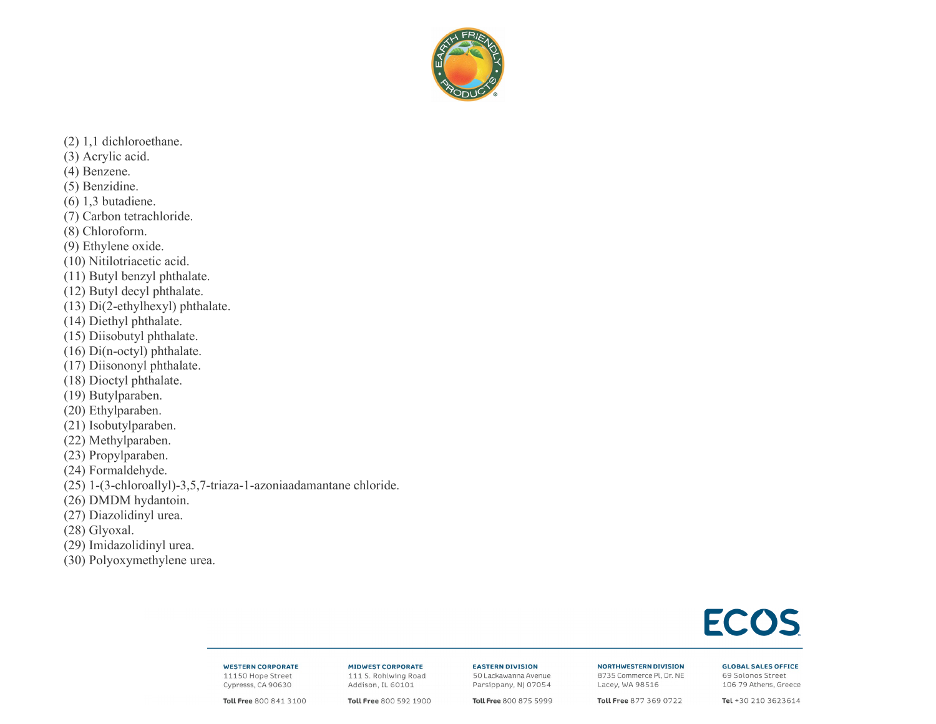

 $(2)$  1,1 dichloroethane. (3) Acrylic acid.  $(4)$  Benzene. (5) Benzidine.  $(6)$  1,3 butadiene. (7) Carbon tetrachloride. (8) Chloroform. (9) Ethylene oxide. (10) Nitilotriacetic acid. (11) Butyl benzyl phthalate. (12) Butyl decyl phthalate.  $(13)$  Di $(2$ -ethylhexyl) phthalate. (14) Diethyl phthalate. (15) Diisobutyl phthalate. (16) Di(n-octyl) phthalate. (17) Diisononyl phthalate. (18) Dioctyl phthalate. (19) Butylparaben. (20) Ethylparaben. (21) Isobutylparaben. (22) Methylparaben. (23) Propylparaben. (24) Formaldehyde. (25) 1-(3-chloroallyl)-3,5,7-triaza-1-azoniaadamantane chloride. (26) DMDM hydantoin. (27) Diazolidinyl urea.  $(28)$  Glyoxal. (29) Imidazolidinyl urea. (30) Polyoxymethylene urea.

# **ECOS**

### **WESTERN CORPORATE** 11150 Hope Street Cypresss, CA 90630

**MIDWEST CORPORATE** 111 S. Rohlwing Road Addison, IL 60101

**EASTERN DIVISION** 50 Lackawanna Avenue Parsippany, NJ 07054

**NORTHWESTERN DIVISION** 8735 Commerce Pl, Dr. NE Lacey, WA 98516

**GLOBAL SALES OFFICE** 

69 Solonos Street 106 79 Athens, Greece

Toll Free 800 841 3100

Toll Free 800 592 1900

Toll Free 800 875 5999

Toll Free 877 369 0722